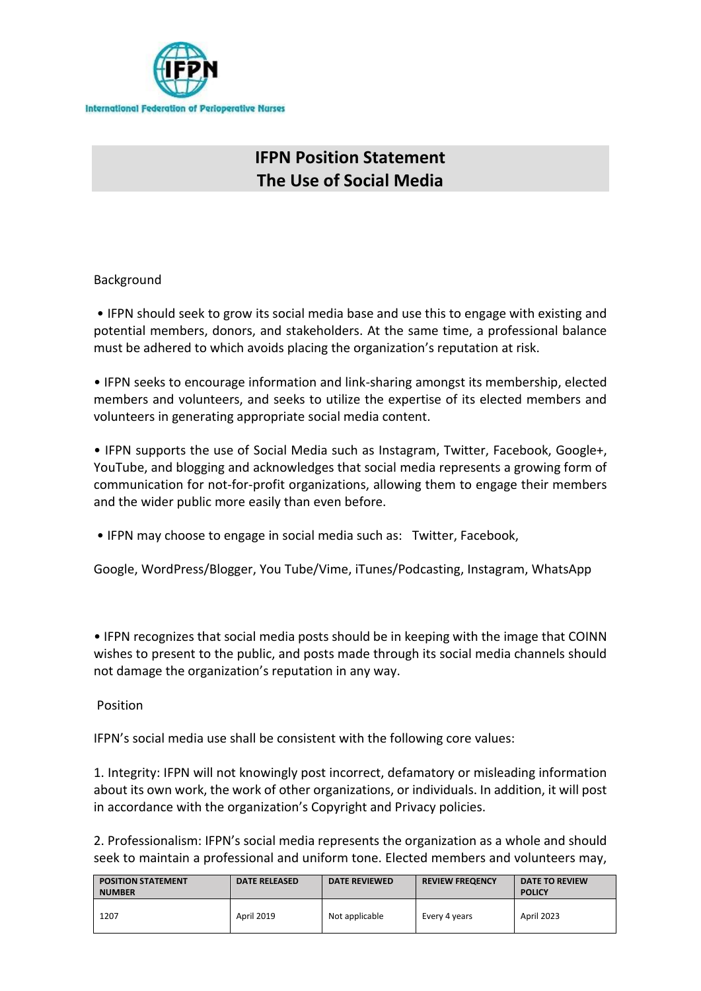

# **IFPN Position Statement The Use of Social Media**

## Background

• IFPN should seek to grow its social media base and use this to engage with existing and potential members, donors, and stakeholders. At the same time, a professional balance must be adhered to which avoids placing the organization's reputation at risk.

• IFPN seeks to encourage information and link-sharing amongst its membership, elected members and volunteers, and seeks to utilize the expertise of its elected members and volunteers in generating appropriate social media content.

• IFPN supports the use of Social Media such as Instagram, Twitter, Facebook, Google+, YouTube, and blogging and acknowledges that social media represents a growing form of communication for not-for-profit organizations, allowing them to engage their members and the wider public more easily than even before.

• IFPN may choose to engage in social media such as: Twitter, Facebook,

Google, WordPress/Blogger, You Tube/Vime, iTunes/Podcasting, Instagram, WhatsApp

• IFPN recognizes that social media posts should be in keeping with the image that COINN wishes to present to the public, and posts made through its social media channels should not damage the organization's reputation in any way.

#### Position

IFPN's social media use shall be consistent with the following core values:

1. Integrity: IFPN will not knowingly post incorrect, defamatory or misleading information about its own work, the work of other organizations, or individuals. In addition, it will post in accordance with the organization's Copyright and Privacy policies.

2. Professionalism: IFPN's social media represents the organization as a whole and should seek to maintain a professional and uniform tone. Elected members and volunteers may,

| <b>POSITION STATEMENT</b><br><b>NUMBER</b> | <b>DATE RELEASED</b> | <b>DATE REVIEWED</b> | <b>REVIEW FREQENCY</b> | DATE TO REVIEW<br><b>POLICY</b> |
|--------------------------------------------|----------------------|----------------------|------------------------|---------------------------------|
| 1207                                       | <b>April 2019</b>    | Not applicable       | Every 4 years          | April 2023                      |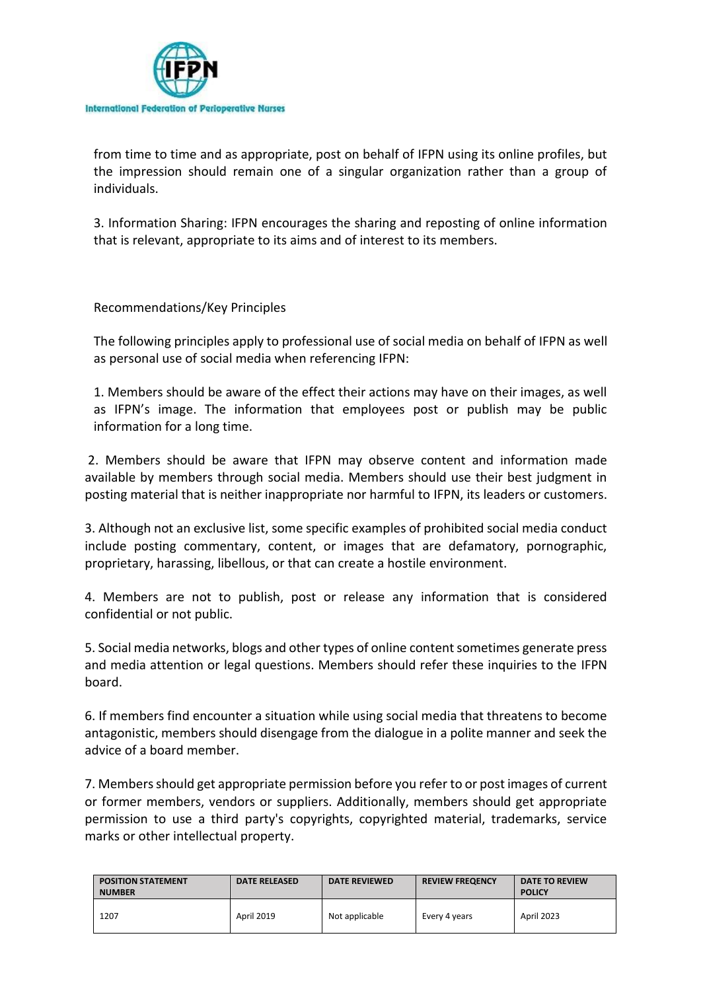

from time to time and as appropriate, post on behalf of IFPN using its online profiles, but the impression should remain one of a singular organization rather than a group of individuals.

3. Information Sharing: IFPN encourages the sharing and reposting of online information that is relevant, appropriate to its aims and of interest to its members.

Recommendations/Key Principles

The following principles apply to professional use of social media on behalf of IFPN as well as personal use of social media when referencing IFPN:

1. Members should be aware of the effect their actions may have on their images, as well as IFPN's image. The information that employees post or publish may be public information for a long time.

2. Members should be aware that IFPN may observe content and information made available by members through social media. Members should use their best judgment in posting material that is neither inappropriate nor harmful to IFPN, its leaders or customers.

3. Although not an exclusive list, some specific examples of prohibited social media conduct include posting commentary, content, or images that are defamatory, pornographic, proprietary, harassing, libellous, or that can create a hostile environment.

4. Members are not to publish, post or release any information that is considered confidential or not public.

5. Social media networks, blogs and other types of online content sometimes generate press and media attention or legal questions. Members should refer these inquiries to the IFPN board.

6. If members find encounter a situation while using social media that threatens to become antagonistic, members should disengage from the dialogue in a polite manner and seek the advice of a board member.

7. Members should get appropriate permission before you refer to or post images of current or former members, vendors or suppliers. Additionally, members should get appropriate permission to use a third party's copyrights, copyrighted material, trademarks, service marks or other intellectual property.

| <b>POSITION STATEMENT</b><br><b>NUMBER</b> | <b>DATE RELEASED</b> | <b>DATE REVIEWED</b> | <b>REVIEW FREQENCY</b> | DATE TO REVIEW<br><b>POLICY</b> |
|--------------------------------------------|----------------------|----------------------|------------------------|---------------------------------|
| 1207                                       | <b>April 2019</b>    | Not applicable       | Every 4 years          | <b>April 2023</b>               |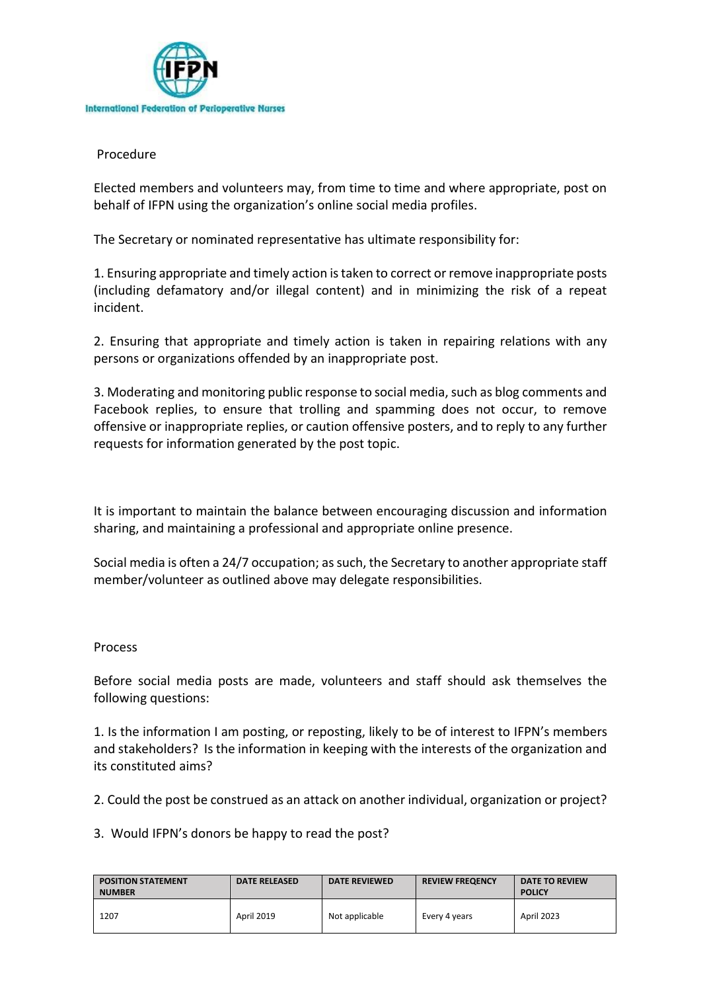

### Procedure

Elected members and volunteers may, from time to time and where appropriate, post on behalf of IFPN using the organization's online social media profiles.

The Secretary or nominated representative has ultimate responsibility for:

1. Ensuring appropriate and timely action is taken to correct or remove inappropriate posts (including defamatory and/or illegal content) and in minimizing the risk of a repeat incident.

2. Ensuring that appropriate and timely action is taken in repairing relations with any persons or organizations offended by an inappropriate post.

3. Moderating and monitoring public response to social media, such as blog comments and Facebook replies, to ensure that trolling and spamming does not occur, to remove offensive or inappropriate replies, or caution offensive posters, and to reply to any further requests for information generated by the post topic.

It is important to maintain the balance between encouraging discussion and information sharing, and maintaining a professional and appropriate online presence.

Social media is often a 24/7 occupation; as such, the Secretary to another appropriate staff member/volunteer as outlined above may delegate responsibilities.

#### Process

Before social media posts are made, volunteers and staff should ask themselves the following questions:

1. Is the information I am posting, or reposting, likely to be of interest to IFPN's members and stakeholders? Is the information in keeping with the interests of the organization and its constituted aims?

2. Could the post be construed as an attack on another individual, organization or project?

3. Would IFPN's donors be happy to read the post?

| <b>POSITION STATEMENT</b><br><b>NUMBER</b> | <b>DATE RELEASED</b> | <b>DATE REVIEWED</b> | <b>REVIEW FREQENCY</b> | <b>DATE TO REVIEW</b><br><b>POLICY</b> |
|--------------------------------------------|----------------------|----------------------|------------------------|----------------------------------------|
| 1207                                       | <b>April 2019</b>    | Not applicable       | Every 4 years          | April 2023                             |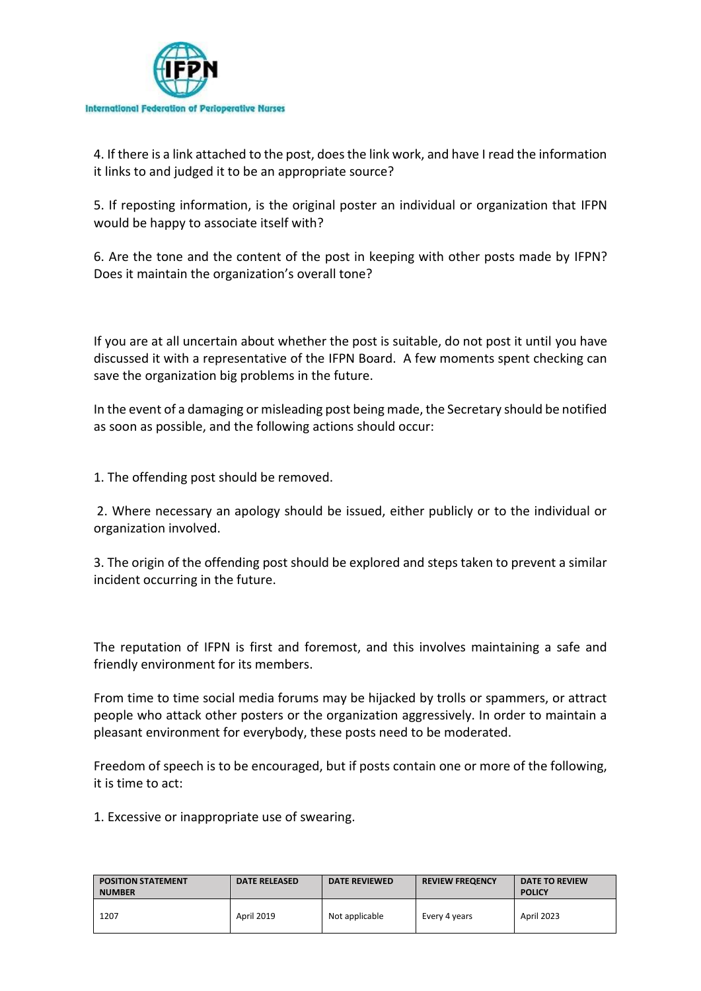

4. If there is a link attached to the post, does the link work, and have I read the information it links to and judged it to be an appropriate source?

5. If reposting information, is the original poster an individual or organization that IFPN would be happy to associate itself with?

6. Are the tone and the content of the post in keeping with other posts made by IFPN? Does it maintain the organization's overall tone?

If you are at all uncertain about whether the post is suitable, do not post it until you have discussed it with a representative of the IFPN Board. A few moments spent checking can save the organization big problems in the future.

In the event of a damaging or misleading post being made, the Secretary should be notified as soon as possible, and the following actions should occur:

1. The offending post should be removed.

2. Where necessary an apology should be issued, either publicly or to the individual or organization involved.

3. The origin of the offending post should be explored and steps taken to prevent a similar incident occurring in the future.

The reputation of IFPN is first and foremost, and this involves maintaining a safe and friendly environment for its members.

From time to time social media forums may be hijacked by trolls or spammers, or attract people who attack other posters or the organization aggressively. In order to maintain a pleasant environment for everybody, these posts need to be moderated.

Freedom of speech is to be encouraged, but if posts contain one or more of the following, it is time to act:

1. Excessive or inappropriate use of swearing.

| <b>POSITION STATEMENT</b><br><b>NUMBER</b> | <b>DATE RELEASED</b> | <b>DATE REVIEWED</b> | <b>REVIEW FREQENCY</b> | <b>DATE TO REVIEW</b><br><b>POLICY</b> |
|--------------------------------------------|----------------------|----------------------|------------------------|----------------------------------------|
| 1207                                       | April 2019           | Not applicable       | Every 4 years          | <b>April 2023</b>                      |